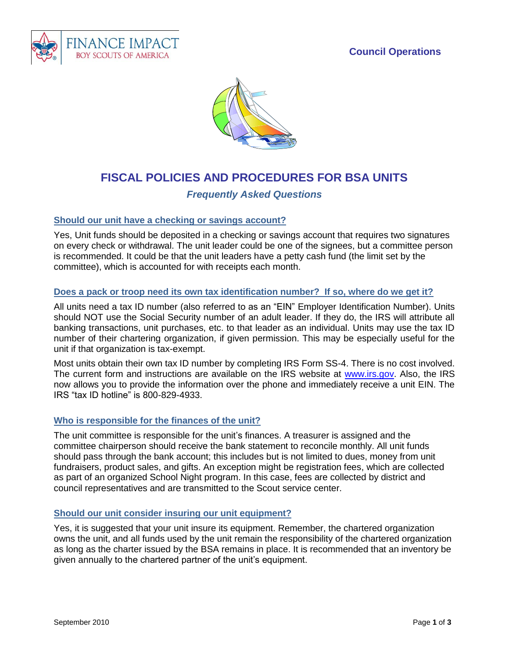# **Council Operations**





# **FISCAL POLICIES AND PROCEDURES FOR BSA UNITS**

# *Frequently Asked Questions*

#### **Should our unit have a checking or savings account?**

Yes, Unit funds should be deposited in a checking or savings account that requires two signatures on every check or withdrawal. The unit leader could be one of the signees, but a committee person is recommended. It could be that the unit leaders have a petty cash fund (the limit set by the committee), which is accounted for with receipts each month.

#### **Does a pack or troop need its own tax identification number? If so, where do we get it?**

All units need a tax ID number (also referred to as an "EIN" Employer Identification Number). Units should NOT use the Social Security number of an adult leader. If they do, the IRS will attribute all banking transactions, unit purchases, etc. to that leader as an individual. Units may use the tax ID number of their chartering organization, if given permission. This may be especially useful for the unit if that organization is tax-exempt.

Most units obtain their own tax ID number by completing IRS Form SS-4. There is no cost involved. The current form and instructions are available on the IRS website at [www.irs.gov.](http://www.irs.gov/) Also, the IRS now allows you to provide the information over the phone and immediately receive a unit EIN. The IRS "tax ID hotline" is 800-829-4933.

#### **Who is responsible for the finances of the unit?**

The unit committee is responsible for the unit's finances. A treasurer is assigned and the committee chairperson should receive the bank statement to reconcile monthly. All unit funds should pass through the bank account; this includes but is not limited to dues, money from unit fundraisers, product sales, and gifts. An exception might be registration fees, which are collected as part of an organized School Night program. In this case, fees are collected by district and council representatives and are transmitted to the Scout service center.

#### **Should our unit consider insuring our unit equipment?**

Yes, it is suggested that your unit insure its equipment. Remember, the chartered organization owns the unit, and all funds used by the unit remain the responsibility of the chartered organization as long as the charter issued by the BSA remains in place. It is recommended that an inventory be given annually to the chartered partner of the unit's equipment.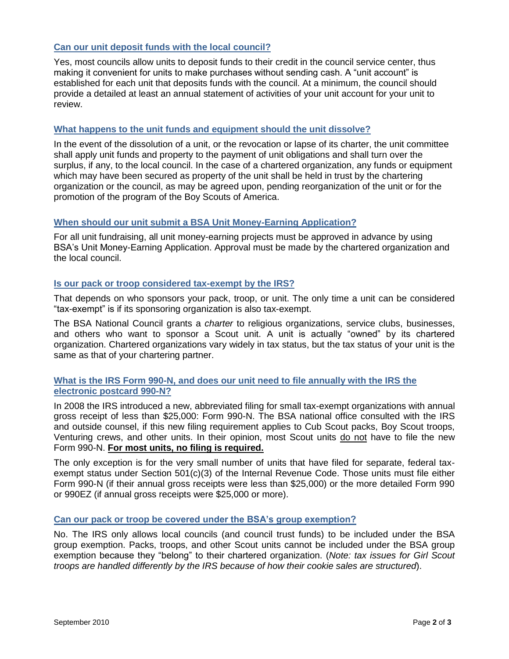# **Can our unit deposit funds with the local council?**

Yes, most councils allow units to deposit funds to their credit in the council service center, thus making it convenient for units to make purchases without sending cash. A "unit account" is established for each unit that deposits funds with the council. At a minimum, the council should provide a detailed at least an annual statement of activities of your unit account for your unit to review.

## **What happens to the unit funds and equipment should the unit dissolve?**

In the event of the dissolution of a unit, or the revocation or lapse of its charter, the unit committee shall apply unit funds and property to the payment of unit obligations and shall turn over the surplus, if any, to the local council. In the case of a chartered organization, any funds or equipment which may have been secured as property of the unit shall be held in trust by the chartering organization or the council, as may be agreed upon, pending reorganization of the unit or for the promotion of the program of the Boy Scouts of America.

# **When should our unit submit a BSA Unit Money-Earning Application?**

For all unit fundraising, all unit money-earning projects must be approved in advance by using BSA's Unit Money-Earning Application. Approval must be made by the chartered organization and the local council.

# **Is our pack or troop considered tax-exempt by the IRS?**

That depends on who sponsors your pack, troop, or unit. The only time a unit can be considered "tax-exempt" is if its sponsoring organization is also tax-exempt.

The BSA National Council grants a *charter* to religious organizations, service clubs, businesses, and others who want to sponsor a Scout unit. A unit is actually "owned" by its chartered organization. Chartered organizations vary widely in tax status, but the tax status of your unit is the same as that of your chartering partner.

# **What is the IRS Form 990-N, and does our unit need to file annually with the IRS the electronic postcard 990-N?**

In 2008 the IRS introduced a new, abbreviated filing for small tax-exempt organizations with annual gross receipt of less than \$25,000: Form 990-N. The BSA national office consulted with the IRS and outside counsel, if this new filing requirement applies to Cub Scout packs, Boy Scout troops, Venturing crews, and other units. In their opinion, most Scout units do not have to file the new Form 990-N. **For most units, no filing is required.**

The only exception is for the very small number of units that have filed for separate, federal taxexempt status under Section 501(c)(3) of the Internal Revenue Code. Those units must file either Form 990-N (if their annual gross receipts were less than \$25,000) or the more detailed Form 990 or 990EZ (if annual gross receipts were \$25,000 or more).

#### **Can our pack or troop be covered under the BSA's group exemption?**

No. The IRS only allows local councils (and council trust funds) to be included under the BSA group exemption. Packs, troops, and other Scout units cannot be included under the BSA group exemption because they "belong" to their chartered organization. (*Note: tax issues for Girl Scout troops are handled differently by the IRS because of how their cookie sales are structured*).